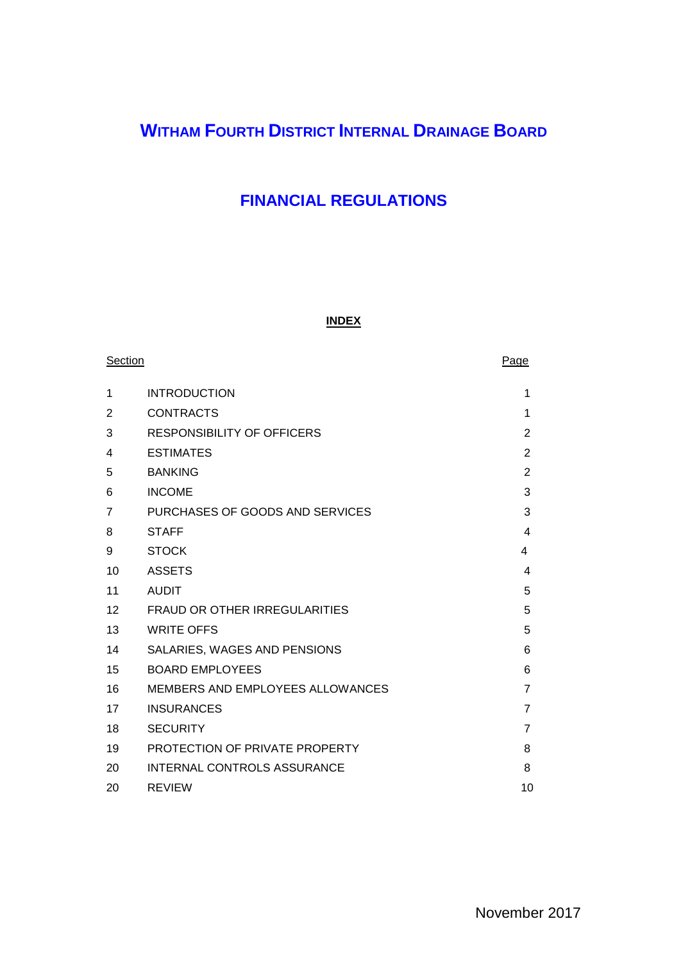# **WITHAM FOURTH DISTRICT INTERNAL DRAINAGE BOARD**

# **FINANCIAL REGULATIONS**

# **INDEX**

| Section |                                         | Page           |
|---------|-----------------------------------------|----------------|
| 1       | <b>INTRODUCTION</b>                     | 1              |
| 2       | <b>CONTRACTS</b>                        | 1              |
| 3       | RESPONSIBILITY OF OFFICERS              | $\overline{2}$ |
| 4       | <b>ESTIMATES</b>                        | $\overline{2}$ |
| 5       | <b>BANKING</b>                          | $\overline{2}$ |
| 6       | <b>INCOME</b>                           | 3              |
| 7       | PURCHASES OF GOODS AND SERVICES         | 3              |
| 8       | <b>STAFF</b>                            | 4              |
| 9       | <b>STOCK</b>                            | 4              |
| 10      | <b>ASSETS</b>                           | 4              |
| 11      | <b>AUDIT</b>                            | 5              |
| 12      | <b>FRAUD OR OTHER IRREGULARITIES</b>    | 5              |
| 13      | <b>WRITE OFFS</b>                       | 5              |
| 14      | SALARIES, WAGES AND PENSIONS            | 6              |
| 15      | <b>BOARD EMPLOYEES</b>                  | 6              |
| 16      | <b>MEMBERS AND EMPLOYEES ALLOWANCES</b> | $\overline{7}$ |
| 17      | <b>INSURANCES</b>                       | $\overline{7}$ |
| 18      | <b>SECURITY</b>                         | 7              |
| 19      | PROTECTION OF PRIVATE PROPERTY          | 8              |
| 20      | <b>INTERNAL CONTROLS ASSURANCE</b>      | 8              |
| 20      | <b>REVIEW</b>                           | 10             |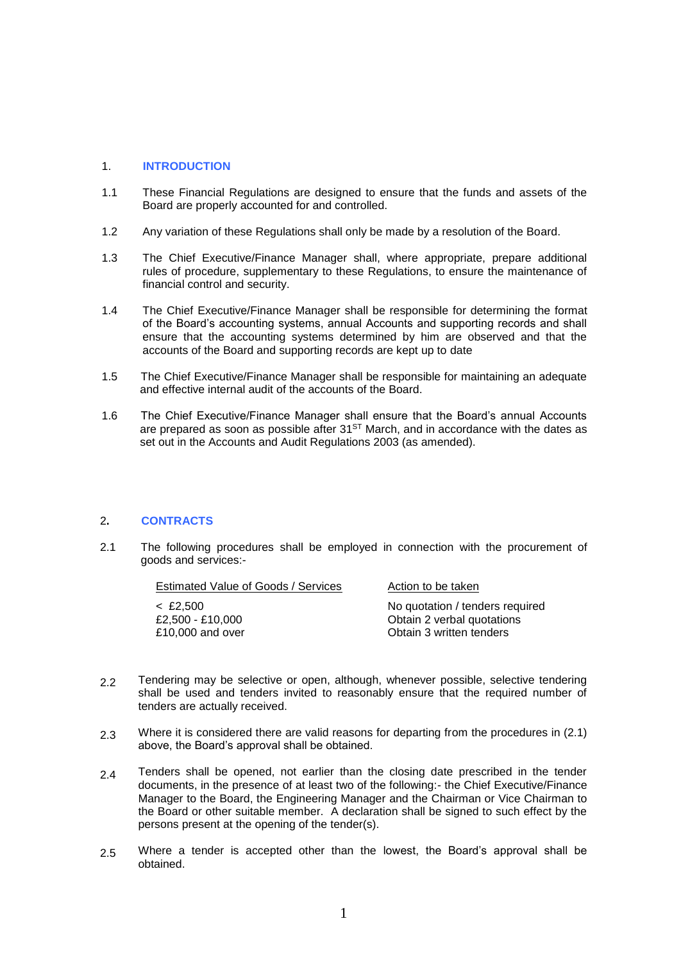#### 1. **INTRODUCTION**

- 1.1 These Financial Regulations are designed to ensure that the funds and assets of the Board are properly accounted for and controlled.
- 1.2 Any variation of these Regulations shall only be made by a resolution of the Board.
- 1.3 The Chief Executive/Finance Manager shall, where appropriate, prepare additional rules of procedure, supplementary to these Regulations, to ensure the maintenance of financial control and security.
- 1.4 The Chief Executive/Finance Manager shall be responsible for determining the format of the Board's accounting systems, annual Accounts and supporting records and shall ensure that the accounting systems determined by him are observed and that the accounts of the Board and supporting records are kept up to date
- 1.5 The Chief Executive/Finance Manager shall be responsible for maintaining an adequate and effective internal audit of the accounts of the Board.
- 1.6 The Chief Executive/Finance Manager shall ensure that the Board's annual Accounts are prepared as soon as possible after  $31<sup>ST</sup>$  March, and in accordance with the dates as set out in the Accounts and Audit Regulations 2003 (as amended).

#### 2**. CONTRACTS**

2.1 The following procedures shall be employed in connection with the procurement of goods and services:-

| Estimated Value of Goods / Services | Action to be taken              |
|-------------------------------------|---------------------------------|
| < £2.500                            | No quotation / tenders required |
| £2.500 - £10.000                    | Obtain 2 verbal quotations      |
| £10,000 and over                    | Obtain 3 written tenders        |

- 2.2 Tendering may be selective or open, although, whenever possible, selective tendering shall be used and tenders invited to reasonably ensure that the required number of tenders are actually received.
- 2.3 Where it is considered there are valid reasons for departing from the procedures in (2.1) above, the Board's approval shall be obtained.
- 2.4 Tenders shall be opened, not earlier than the closing date prescribed in the tender documents, in the presence of at least two of the following:- the Chief Executive/Finance Manager to the Board, the Engineering Manager and the Chairman or Vice Chairman to the Board or other suitable member. A declaration shall be signed to such effect by the persons present at the opening of the tender(s).
- 2.5 Where a tender is accepted other than the lowest, the Board's approval shall be obtained.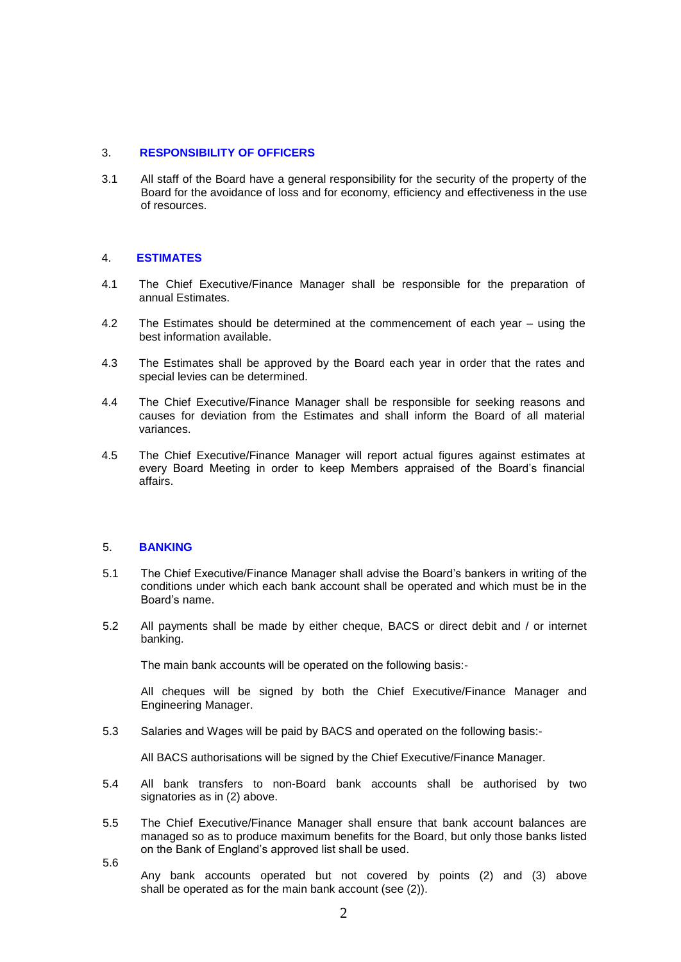#### 3. **RESPONSIBILITY OF OFFICERS**

3.1 All staff of the Board have a general responsibility for the security of the property of the Board for the avoidance of loss and for economy, efficiency and effectiveness in the use of resources.

#### 4. **ESTIMATES**

- 4.1 The Chief Executive/Finance Manager shall be responsible for the preparation of annual Estimates.
- 4.2 The Estimates should be determined at the commencement of each year – using the best information available.
- 4.3 The Estimates shall be approved by the Board each year in order that the rates and special levies can be determined.
- 4.4 The Chief Executive/Finance Manager shall be responsible for seeking reasons and causes for deviation from the Estimates and shall inform the Board of all material variances.
- 4.5 The Chief Executive/Finance Manager will report actual figures against estimates at every Board Meeting in order to keep Members appraised of the Board's financial affairs.

#### 5. **BANKING**

5.6

- 5.1 The Chief Executive/Finance Manager shall advise the Board's bankers in writing of the conditions under which each bank account shall be operated and which must be in the Board's name.
- 5.2 All payments shall be made by either cheque, BACS or direct debit and / or internet banking.

The main bank accounts will be operated on the following basis:-

All cheques will be signed by both the Chief Executive/Finance Manager and Engineering Manager.

5.3 Salaries and Wages will be paid by BACS and operated on the following basis:-

All BACS authorisations will be signed by the Chief Executive/Finance Manager.

- 5.4 All bank transfers to non-Board bank accounts shall be authorised by two signatories as in (2) above.
- 5.5 The Chief Executive/Finance Manager shall ensure that bank account balances are managed so as to produce maximum benefits for the Board, but only those banks listed on the Bank of England's approved list shall be used.
	- Any bank accounts operated but not covered by points (2) and (3) above shall be operated as for the main bank account (see (2)).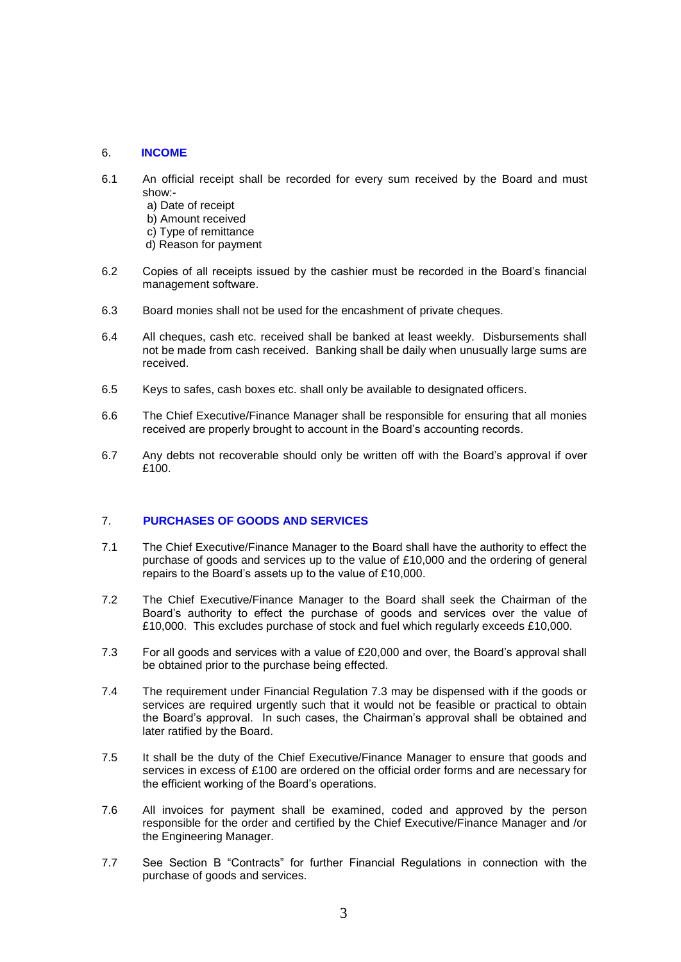## 6. **INCOME**

- 6.1 An official receipt shall be recorded for every sum received by the Board and must show:
	- a) Date of receipt
	- b) Amount received
	- c) Type of remittance
	- d) Reason for payment
- 6.2 Copies of all receipts issued by the cashier must be recorded in the Board's financial management software.
- 6.3 Board monies shall not be used for the encashment of private cheques.
- 6.4 All cheques, cash etc. received shall be banked at least weekly. Disbursements shall not be made from cash received. Banking shall be daily when unusually large sums are received.
- 6.5 Keys to safes, cash boxes etc. shall only be available to designated officers.
- 6.6 The Chief Executive/Finance Manager shall be responsible for ensuring that all monies received are properly brought to account in the Board's accounting records.
- 6.7 Any debts not recoverable should only be written off with the Board's approval if over £100.

# 7. **PURCHASES OF GOODS AND SERVICES**

- 7.1 The Chief Executive/Finance Manager to the Board shall have the authority to effect the purchase of goods and services up to the value of £10,000 and the ordering of general repairs to the Board's assets up to the value of £10,000.
- 7.2 The Chief Executive/Finance Manager to the Board shall seek the Chairman of the Board's authority to effect the purchase of goods and services over the value of £10,000. This excludes purchase of stock and fuel which regularly exceeds £10,000.
- 7.3 For all goods and services with a value of £20,000 and over, the Board's approval shall be obtained prior to the purchase being effected.
- 7.4 The requirement under Financial Regulation 7.3 may be dispensed with if the goods or services are required urgently such that it would not be feasible or practical to obtain the Board's approval. In such cases, the Chairman's approval shall be obtained and later ratified by the Board.
- 7.5 It shall be the duty of the Chief Executive/Finance Manager to ensure that goods and services in excess of £100 are ordered on the official order forms and are necessary for the efficient working of the Board's operations.
- 7.6 All invoices for payment shall be examined, coded and approved by the person responsible for the order and certified by the Chief Executive/Finance Manager and /or the Engineering Manager.
- 7.7 See Section B "Contracts" for further Financial Regulations in connection with the purchase of goods and services.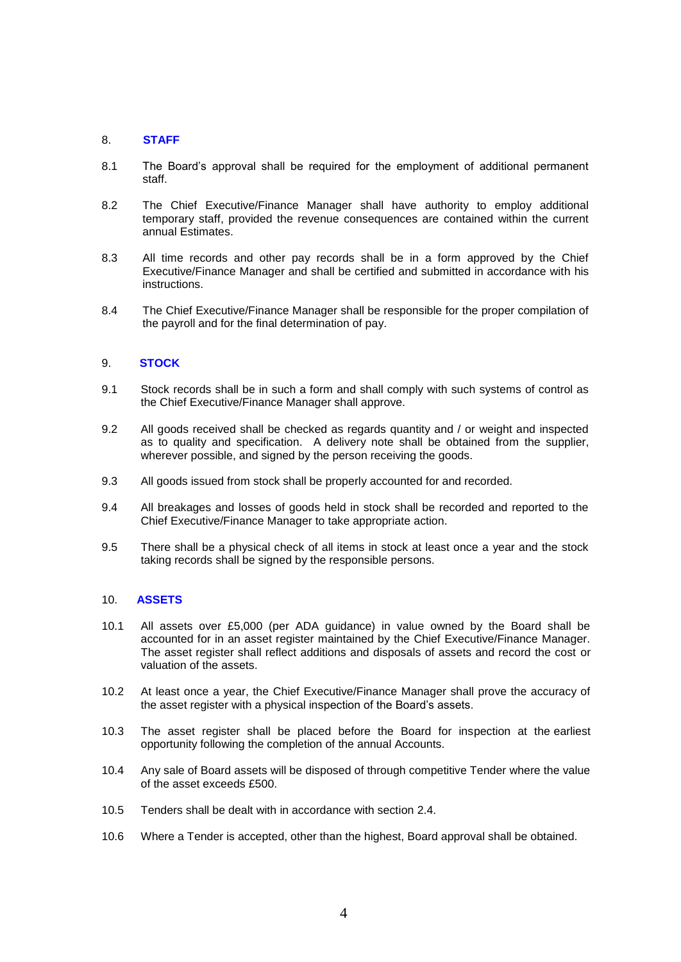#### 8. **STAFF**

- 8.1 The Board's approval shall be required for the employment of additional permanent staff.
- 8.2 The Chief Executive/Finance Manager shall have authority to employ additional temporary staff, provided the revenue consequences are contained within the current annual Estimates.
- 8.3 All time records and other pay records shall be in a form approved by the Chief Executive/Finance Manager and shall be certified and submitted in accordance with his instructions.
- 8.4 The Chief Executive/Finance Manager shall be responsible for the proper compilation of the payroll and for the final determination of pay.

## 9. **STOCK**

- 9.1 Stock records shall be in such a form and shall comply with such systems of control as the Chief Executive/Finance Manager shall approve.
- 9.2 All goods received shall be checked as regards quantity and / or weight and inspected as to quality and specification. A delivery note shall be obtained from the supplier, wherever possible, and signed by the person receiving the goods.
- 9.3 All goods issued from stock shall be properly accounted for and recorded.
- 9.4 All breakages and losses of goods held in stock shall be recorded and reported to the Chief Executive/Finance Manager to take appropriate action.
- 9.5 There shall be a physical check of all items in stock at least once a year and the stock taking records shall be signed by the responsible persons.

#### 10. **ASSETS**

- 10.1 All assets over £5,000 (per ADA guidance) in value owned by the Board shall be accounted for in an asset register maintained by the Chief Executive/Finance Manager. The asset register shall reflect additions and disposals of assets and record the cost or valuation of the assets.
- 10.2 At least once a year, the Chief Executive/Finance Manager shall prove the accuracy of the asset register with a physical inspection of the Board's assets.
- 10.3 The asset register shall be placed before the Board for inspection at the earliest opportunity following the completion of the annual Accounts.
- 10.4 Any sale of Board assets will be disposed of through competitive Tender where the value of the asset exceeds £500.
- 10.5 Tenders shall be dealt with in accordance with section 2.4.
- 10.6 Where a Tender is accepted, other than the highest, Board approval shall be obtained.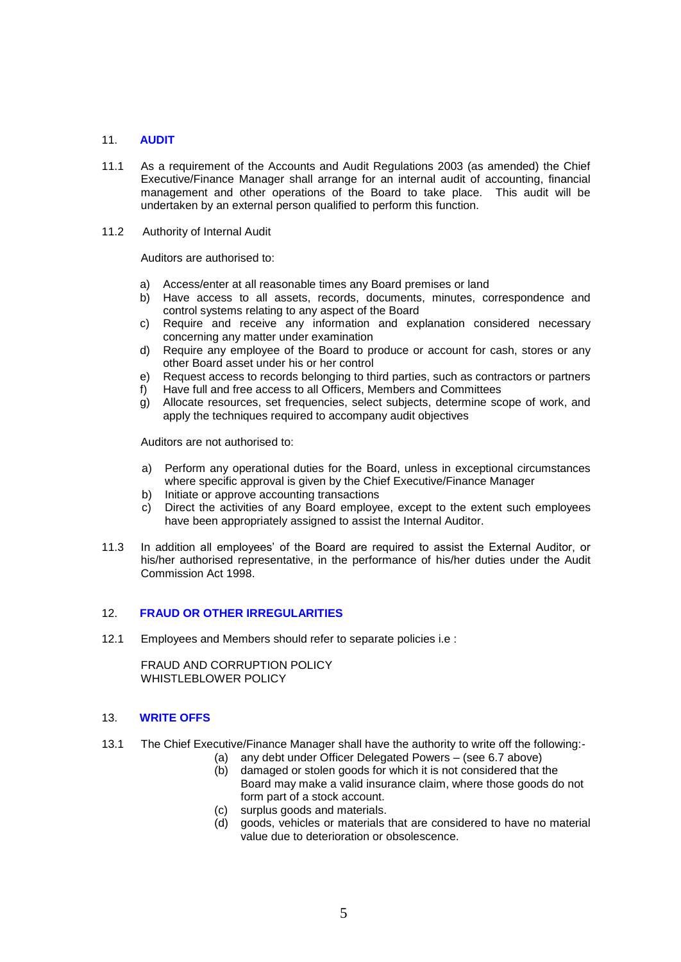# 11. **AUDIT**

- 11.1 As a requirement of the Accounts and Audit Regulations 2003 (as amended) the Chief Executive/Finance Manager shall arrange for an internal audit of accounting, financial management and other operations of the Board to take place. This audit will be undertaken by an external person qualified to perform this function.
- 11.2 Authority of Internal Audit

Auditors are authorised to:

- a) Access/enter at all reasonable times any Board premises or land
- b) Have access to all assets, records, documents, minutes, correspondence and control systems relating to any aspect of the Board
- c) Require and receive any information and explanation considered necessary concerning any matter under examination
- d) Require any employee of the Board to produce or account for cash, stores or any other Board asset under his or her control
- e) Request access to records belonging to third parties, such as contractors or partners
- f) Have full and free access to all Officers, Members and Committees
- g) Allocate resources, set frequencies, select subjects, determine scope of work, and apply the techniques required to accompany audit objectives

Auditors are not authorised to:

- a) Perform any operational duties for the Board, unless in exceptional circumstances where specific approval is given by the Chief Executive/Finance Manager
- b) Initiate or approve accounting transactions
- c) Direct the activities of any Board employee, except to the extent such employees have been appropriately assigned to assist the Internal Auditor.
- 11.3 In addition all employees' of the Board are required to assist the External Auditor, or his/her authorised representative, in the performance of his/her duties under the Audit Commission Act 1998.

#### 12. **FRAUD OR OTHER IRREGULARITIES**

12.1 Employees and Members should refer to separate policies i.e :

FRAUD AND CORRUPTION POLICY WHISTLEBLOWER POLICY

#### 13. **WRITE OFFS**

- 13.1 The Chief Executive/Finance Manager shall have the authority to write off the following:-
	- (a) any debt under Officer Delegated Powers (see 6.7 above)
		- (b) damaged or stolen goods for which it is not considered that the Board may make a valid insurance claim, where those goods do not form part of a stock account.
	- (c) surplus goods and materials.
	- (d) goods, vehicles or materials that are considered to have no material value due to deterioration or obsolescence.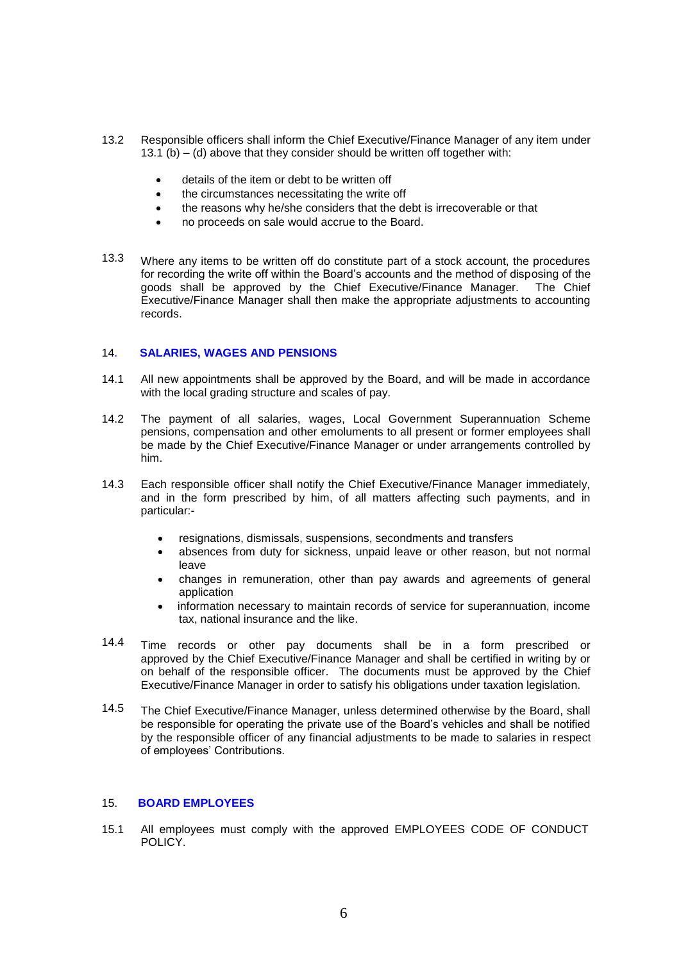- 13.2 Responsible officers shall inform the Chief Executive/Finance Manager of any item under 13.1 (b)  $-$  (d) above that they consider should be written off together with:
	- details of the item or debt to be written off
	- the circumstances necessitating the write off
	- the reasons why he/she considers that the debt is irrecoverable or that
	- no proceeds on sale would accrue to the Board.
- 13.3 Where any items to be written off do constitute part of a stock account, the procedures for recording the write off within the Board's accounts and the method of disposing of the goods shall be approved by the Chief Executive/Finance Manager. The Chief Executive/Finance Manager shall then make the appropriate adjustments to accounting records.

## 14. **SALARIES, WAGES AND PENSIONS**

- 14.1 All new appointments shall be approved by the Board, and will be made in accordance with the local grading structure and scales of pay.
- 14.2 The payment of all salaries, wages, Local Government Superannuation Scheme pensions, compensation and other emoluments to all present or former employees shall be made by the Chief Executive/Finance Manager or under arrangements controlled by him.
- 14.3 Each responsible officer shall notify the Chief Executive/Finance Manager immediately, and in the form prescribed by him, of all matters affecting such payments, and in particular:-
	- resignations, dismissals, suspensions, secondments and transfers
	- absences from duty for sickness, unpaid leave or other reason, but not normal leave
	- changes in remuneration, other than pay awards and agreements of general application
	- information necessary to maintain records of service for superannuation, income tax, national insurance and the like.
- 14.4 Time records or other pay documents shall be in a form prescribed or approved by the Chief Executive/Finance Manager and shall be certified in writing by or on behalf of the responsible officer. The documents must be approved by the Chief Executive/Finance Manager in order to satisfy his obligations under taxation legislation.
- 14.5 The Chief Executive/Finance Manager, unless determined otherwise by the Board, shall be responsible for operating the private use of the Board's vehicles and shall be notified by the responsible officer of any financial adjustments to be made to salaries in respect of employees' Contributions.

#### 15. **BOARD EMPLOYEES**

15.1 All employees must comply with the approved EMPLOYEES CODE OF CONDUCT POLICY.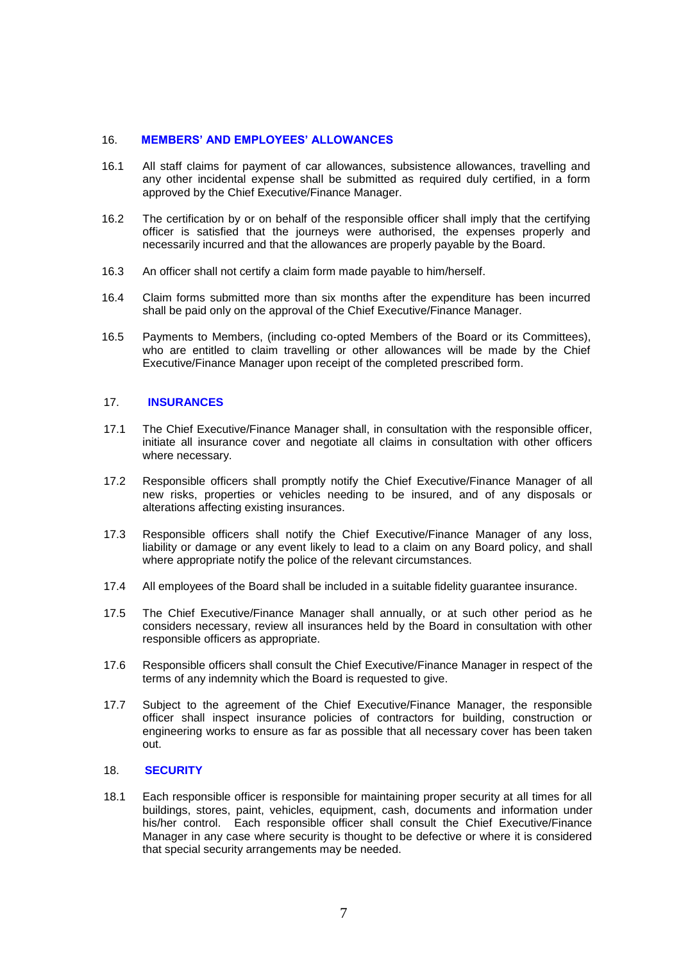#### 16. **MEMBERS' AND EMPLOYEES' ALLOWANCES**

- 16.1 All staff claims for payment of car allowances, subsistence allowances, travelling and any other incidental expense shall be submitted as required duly certified, in a form approved by the Chief Executive/Finance Manager.
- 16.2 The certification by or on behalf of the responsible officer shall imply that the certifying officer is satisfied that the journeys were authorised, the expenses properly and necessarily incurred and that the allowances are properly payable by the Board.
- 16.3 An officer shall not certify a claim form made payable to him/herself.
- 16.4 Claim forms submitted more than six months after the expenditure has been incurred shall be paid only on the approval of the Chief Executive/Finance Manager.
- 16.5 Payments to Members, (including co-opted Members of the Board or its Committees), who are entitled to claim travelling or other allowances will be made by the Chief Executive/Finance Manager upon receipt of the completed prescribed form.

#### 17. **INSURANCES**

- 17.1 The Chief Executive/Finance Manager shall, in consultation with the responsible officer, initiate all insurance cover and negotiate all claims in consultation with other officers where necessary.
- 17.2 Responsible officers shall promptly notify the Chief Executive/Finance Manager of all new risks, properties or vehicles needing to be insured, and of any disposals or alterations affecting existing insurances.
- 17.3 Responsible officers shall notify the Chief Executive/Finance Manager of any loss, liability or damage or any event likely to lead to a claim on any Board policy, and shall where appropriate notify the police of the relevant circumstances.
- 17.4 All employees of the Board shall be included in a suitable fidelity guarantee insurance.
- 17.5 The Chief Executive/Finance Manager shall annually, or at such other period as he considers necessary, review all insurances held by the Board in consultation with other responsible officers as appropriate.
- 17.6 Responsible officers shall consult the Chief Executive/Finance Manager in respect of the terms of any indemnity which the Board is requested to give.
- 17.7 Subject to the agreement of the Chief Executive/Finance Manager, the responsible officer shall inspect insurance policies of contractors for building, construction or engineering works to ensure as far as possible that all necessary cover has been taken out.

#### 18. **SECURITY**

18.1 Each responsible officer is responsible for maintaining proper security at all times for all buildings, stores, paint, vehicles, equipment, cash, documents and information under his/her control. Each responsible officer shall consult the Chief Executive/Finance Manager in any case where security is thought to be defective or where it is considered that special security arrangements may be needed.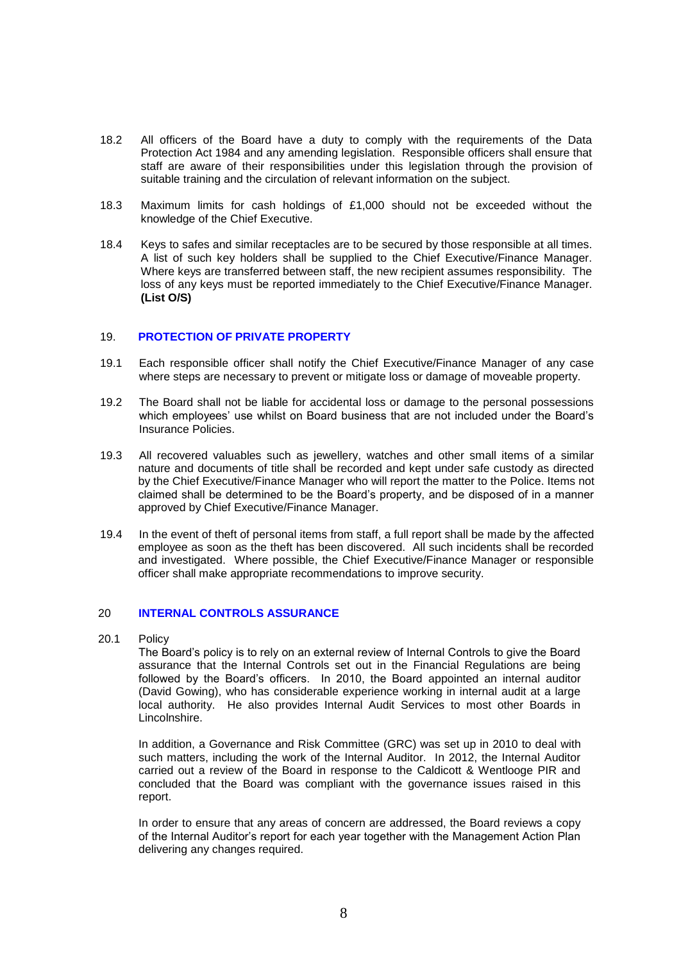- 18.2 All officers of the Board have a duty to comply with the requirements of the Data Protection Act 1984 and any amending legislation. Responsible officers shall ensure that staff are aware of their responsibilities under this legislation through the provision of suitable training and the circulation of relevant information on the subject.
- 18.3 Maximum limits for cash holdings of £1,000 should not be exceeded without the knowledge of the Chief Executive.
- 18.4 Keys to safes and similar receptacles are to be secured by those responsible at all times. A list of such key holders shall be supplied to the Chief Executive/Finance Manager. Where keys are transferred between staff, the new recipient assumes responsibility. The loss of any keys must be reported immediately to the Chief Executive/Finance Manager. **(List O/S)**

#### 19. **PROTECTION OF PRIVATE PROPERTY**

- 19.1 Each responsible officer shall notify the Chief Executive/Finance Manager of any case where steps are necessary to prevent or mitigate loss or damage of moveable property.
- 19.2 The Board shall not be liable for accidental loss or damage to the personal possessions which employees' use whilst on Board business that are not included under the Board's Insurance Policies.
- 19.3 All recovered valuables such as jewellery, watches and other small items of a similar nature and documents of title shall be recorded and kept under safe custody as directed by the Chief Executive/Finance Manager who will report the matter to the Police. Items not claimed shall be determined to be the Board's property, and be disposed of in a manner approved by Chief Executive/Finance Manager.
- 19.4 In the event of theft of personal items from staff, a full report shall be made by the affected employee as soon as the theft has been discovered. All such incidents shall be recorded and investigated. Where possible, the Chief Executive/Finance Manager or responsible officer shall make appropriate recommendations to improve security.

#### 20 **INTERNAL CONTROLS ASSURANCE**

20.1 Policy

The Board's policy is to rely on an external review of Internal Controls to give the Board assurance that the Internal Controls set out in the Financial Regulations are being followed by the Board's officers. In 2010, the Board appointed an internal auditor (David Gowing), who has considerable experience working in internal audit at a large local authority. He also provides Internal Audit Services to most other Boards in Lincolnshire.

In addition, a Governance and Risk Committee (GRC) was set up in 2010 to deal with such matters, including the work of the Internal Auditor. In 2012, the Internal Auditor carried out a review of the Board in response to the Caldicott & Wentlooge PIR and concluded that the Board was compliant with the governance issues raised in this report.

In order to ensure that any areas of concern are addressed, the Board reviews a copy of the Internal Auditor's report for each year together with the Management Action Plan delivering any changes required.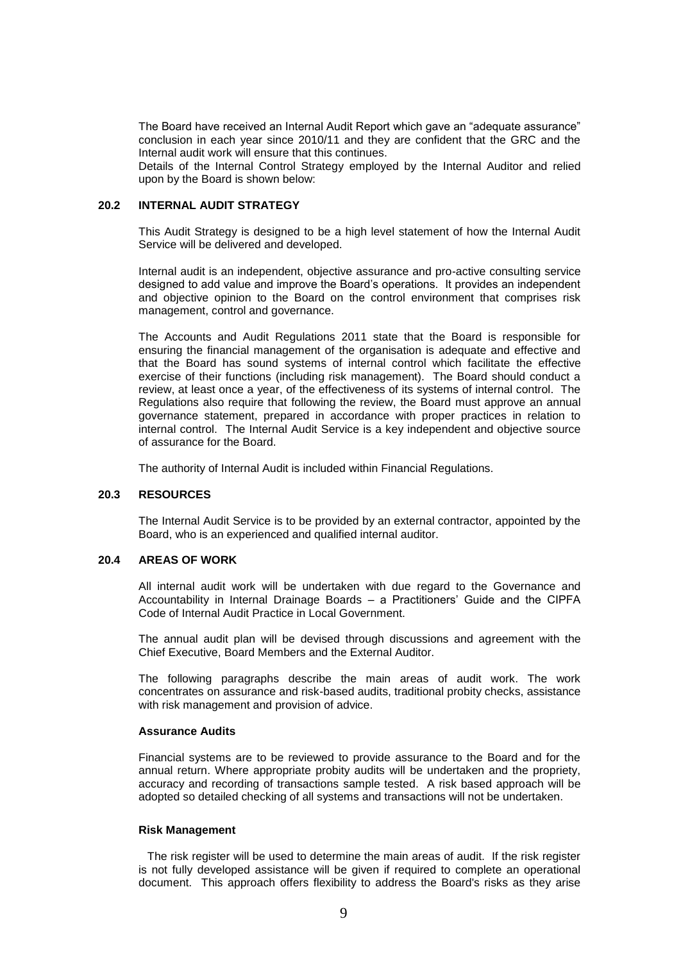The Board have received an Internal Audit Report which gave an "adequate assurance" conclusion in each year since 2010/11 and they are confident that the GRC and the Internal audit work will ensure that this continues.

Details of the Internal Control Strategy employed by the Internal Auditor and relied upon by the Board is shown below:

# **20.2 INTERNAL AUDIT STRATEGY**

This Audit Strategy is designed to be a high level statement of how the Internal Audit Service will be delivered and developed.

Internal audit is an independent, objective assurance and pro-active consulting service designed to add value and improve the Board's operations. It provides an independent and objective opinion to the Board on the control environment that comprises risk management, control and governance.

The Accounts and Audit Regulations 2011 state that the Board is responsible for ensuring the financial management of the organisation is adequate and effective and that the Board has sound systems of internal control which facilitate the effective exercise of their functions (including risk management). The Board should conduct a review, at least once a year, of the effectiveness of its systems of internal control. The Regulations also require that following the review, the Board must approve an annual governance statement, prepared in accordance with proper practices in relation to internal control. The Internal Audit Service is a key independent and objective source of assurance for the Board.

The authority of Internal Audit is included within Financial Regulations.

#### **20.3 RESOURCES**

The Internal Audit Service is to be provided by an external contractor, appointed by the Board, who is an experienced and qualified internal auditor.

## **20.4 AREAS OF WORK**

All internal audit work will be undertaken with due regard to the Governance and Accountability in Internal Drainage Boards – a Practitioners' Guide and the CIPFA Code of Internal Audit Practice in Local Government.

The annual audit plan will be devised through discussions and agreement with the Chief Executive, Board Members and the External Auditor.

The following paragraphs describe the main areas of audit work. The work concentrates on assurance and risk-based audits, traditional probity checks, assistance with risk management and provision of advice.

#### **Assurance Audits**

Financial systems are to be reviewed to provide assurance to the Board and for the annual return. Where appropriate probity audits will be undertaken and the propriety, accuracy and recording of transactions sample tested. A risk based approach will be adopted so detailed checking of all systems and transactions will not be undertaken.

#### **Risk Management**

The risk register will be used to determine the main areas of audit. If the risk register is not fully developed assistance will be given if required to complete an operational document. This approach offers flexibility to address the Board's risks as they arise